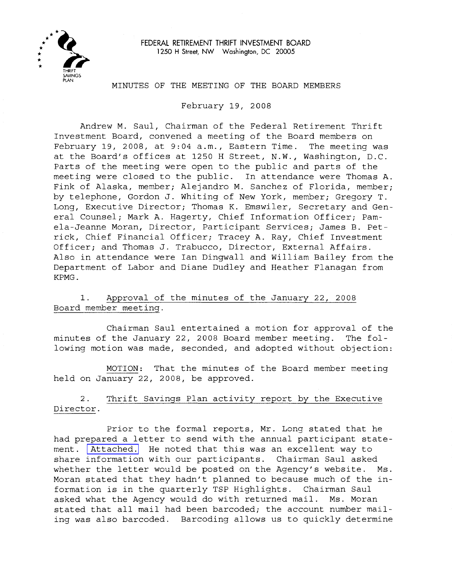

FEDERAL RETIREMENT THRIFT INVESTMENT BOARD 1250 H Street, NW Washington, DC 20005

#### MINUTES OF THE MEETING OF THE BOARD MEMBERS

February 19, 2008

Andrew M. Saul, Chairman of the Federal Retirement Thrift Investment Board, convened a meeting of the Board members on February 19, 2008, at 9:04 a.m., Eastern Time. The meeting was at the Board's offices at 1250 H Street, N.W., Washington, D.C. Parts of the meeting were open to the public and parts of the meeting were closed to the public. In attendance were Thomas A. Fink of Alaska, member; Alejandro M. Sanchez of Florida, member; by telephone, Gordon J. Whiting of New York, member; Gregory T. Long, Executive Director; Thomas K. Emswiler, Secretary and General Counsel; Mark A. Hagerty, Chief Information Officer; Pamela-Jeanne Moran, Director, Participant Services; James B. Petrick, Chief Financial Officer; Tracey A. Ray, Chief Investment Officer; and Thomas J. Trabucco, Director, External Affairs. Also in attendance were Ian Dingwall and William Bailey from the Department of Labor and Diane Dudley and Heather Flanagan from KPMG.

1. Approval of the minutes of the January 22, 2008 Board member meeting.

Chairman Saul entertained a motion for approval of the minutes of the January 22, 2008 Board member meeting. The following motion was made, seconded, and adopted without objection:

MOTION: That the minutes of the Board member meeting held on January 22, 2008, be approved.

2. Thrift Savings Plan activity report by the Executive Director.

Prior to the formal reports, Mr. Long stated that he had prepared <sup>a</sup> letter to send with the annual participant statement. [Attached.](MM-2008Feb-Att1.pdf) He noted that this was an excellent way to share information with our participants. Chairman Saul asked whether the letter would be posted on the Agency's website. Ms. Moran stated that they hadn't planned to because much of the information is in the quarterly TSP Highlights. Chairman Saul asked what the Agency would do with returned mail. Ms. Moran stated that all mail had been barcoded; the account number mailing was also barcoded. Barcoding allows us to quickly determine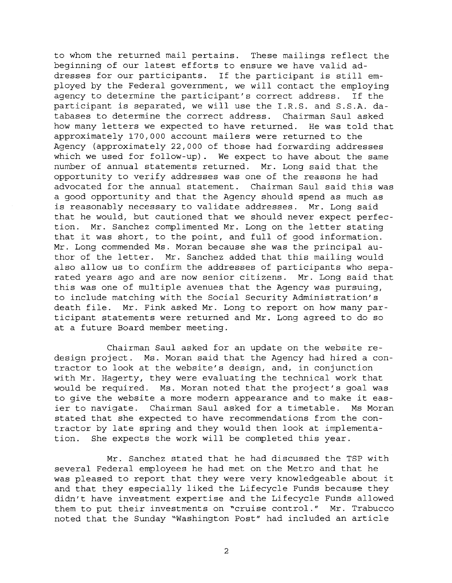to whom the returned mail pertains. These mailings reflect the beginning of our latest efforts to ensure we have valid addresses for our participants. If the participant is still employed by the Federal government, we will contact the employing agency to determine the participant's correct address. If the participant is separated, we will use the I.R.S. and S.S.A. databases to determine the correct address. Chairman Saul asked how many letters we expected to have returned. He was told that approximately 170,000 account mailers were returned to the Agency (approximately 22,000 of those had forwarding addresses which we used for follow-up). We expect to have about the same number of annual statements returned. Mr. Long said that the opportunity to verify addresses was one of the reasons he had advocated for the annual statement. Chairman Saul said this was a good opportunity and that the Agency should spend as much as is reasonably necessary to validate addresses. Mr. Long said that he would, but cautioned that we should never expect perfection. Mr. Sanchez complimented Mr. Long on the letter stating that it was short, to the point, and full of good information. Mr. Long commended Ms. Moran because she was the principal author of the letter. Mr. Sanchez added that this mailing would also allow us to confirm the addresses of participants who separated years ago and are now senior citizens. Mr. Long said that this was one of multiple avenues that the Agency was pursuing, to include matching with the Social Security Administration's death file. Mr. Fink asked Mr. Long to report on how many participant statements were returned and Mr. Long agreed to do so at a future Board member meeting.

Chairman Saul asked for an update on the website redesign project. Ms. Moran said that the Agency had hired <sup>a</sup> contractor to look at the website's design, and, in conjunction with Mr. Hagerty, they were evaluating the technical work that would be required. Ms. Moran noted that the project's goal was to give the website <sup>a</sup> more modern appearance and to make it easier to navigate. Chairman Saul asked for <sup>a</sup> timetable. Ms Moran stated that she expected to have recommendations from the contractor by late spring and they would then look at implementation. She expects the work will be completed this year.

Mr. Sanchez stated that he had discussed the TSP with several Federal employees he had met on the Metro and that he was pleased to report that they were very knowledgeable about it and that they especially liked the Lifecycle Funds because they didn't have investment expertise and the Lifecycle Funds allowed them to put their investments on "cruise control." Mr. Trabucco noted that the Sunday "Washington Post" had included an article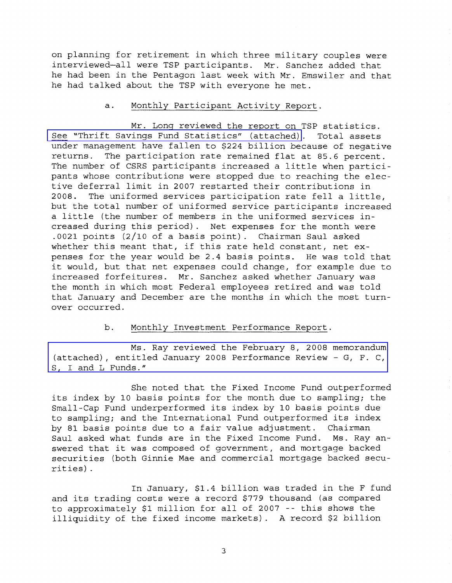on planning for retirement in which three military couples were interviewed-all were TSP participants. Mr. Sanchez added that he had been in the Pentagon last week with Mr. Emswiler and that he had talked about the TSP with everyone he met.

## a. Monthly Participant Activity Report.

Mr. Long reviewed the report on TSP statistics. See "Thrift Savings Fund [Statistics"](MM-2008Feb-Att2.pdf) (attached). Total assets under management have fallen to \$224 billion because of negative returns. The participation rate remained flat at 85.6 percent. The number of CSRS participants increased <sup>a</sup> little when participants whose contributions were stopped due to reaching the elective deferral limit in 2007 restarted their contributions in 2008. The uniformed services participation rate fell <sup>a</sup> little, but the total number of uniformed service participants increased <sup>a</sup> little (the number of members in the uniformed services increased during this period). Net expenses for the month were .0021 points (2/10 of a basis point). Chairman Saul asked whether this meant that, if this rate held constant, net expenses for the year would be 2.4 basis points. He was told that it would, but that net expenses could change, for example due to increased forfeitures. Mr. Sanchez asked whether January was the month in which most Federal employees retired and was told that January and December are the months in which the most turnover occurred.

# b. Monthly Investment Performance Report.

Ms. Ray reviewed the February 8, 2008 memorandum [\(attached\),](MM-2008Feb-Att3.pdf) entitled January 2008 Performance Review - G, F. C, S, I and L Funds."

She noted that the Fixed Income Fund outperformed its index by <sup>10</sup> basis points for the month due to sampling; the Small-Cap Fund underperformed its index by <sup>10</sup> basis points due to sampling; and the International Fund outperformed its index by <sup>81</sup> basis points due to <sup>a</sup> fair value adjustment. Chairman Saul asked what funds are in the Fixed Income Fund. Ms. Ray answered that it was composed of government, and mortgage backed securities (both Ginnie Mae and commercial mortgage backed securities) .

In January, \$1.4 billion was traded in the <sup>F</sup> fund and its trading costs were <sup>a</sup> record \$779 thousand (as compared to approximately \$1 million for all of <sup>2007</sup> -- this shows the illiquidity of the fixed income markets). <sup>A</sup> record \$2 billion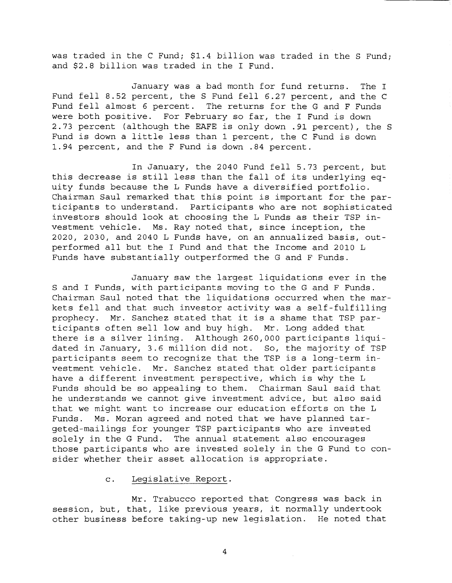was traded in the <sup>C</sup> Fund; \$1.4 billion was traded in the <sup>S</sup> Fund; and \$2.8 billion was traded in the <sup>I</sup> Fund.

January was a bad month for fund returns. The I Fund fell 8.52 percent, the <sup>S</sup> Fund fell 6.27 percent, and the <sup>C</sup> Fund fell almost <sup>6</sup> percent. The returns for the <sup>G</sup> and <sup>F</sup> Funds were both positive. For February so far, the <sup>I</sup> Fund is down 2.73 percent (although the EAFE is only down .91 percent), the <sup>S</sup> Fund is down <sup>a</sup> little less than <sup>1</sup> percent, the <sup>C</sup> Fund is down 1.94 percent, and the <sup>F</sup> Fund is down .84 percent.

In January, the 2040 Fund fell 5.73 percent, but this decrease is still less than the fall of its underlying equity funds because the L Funds have a diversified portfolio. Chairman Saul remarked that this point is important for the participants to understand. Participants who are not sophisticated investors should look at choosing the <sup>L</sup> Funds as their TSP investment vehicle. Ms. Ray noted that, since inception, the 2020, 2030, and 2040 L Funds have, on an annualized basis, outperformed all but the <sup>I</sup> Fund and that the Income and <sup>2010</sup> <sup>L</sup> Funds have substantially outperformed the G and F Funds.

January saw the largest liquidations ever in the S and I Funds, with participants moving to the G and F Funds. Chairman Saul noted that the liquidations occurred when the markets fell and that such investor activity was <sup>a</sup> self-fulfilling prophecy. Mr. Sanchez stated that it is <sup>a</sup> shame that TSP participants often sell low and buy high. Mr. Long added that there is <sup>a</sup> silver lining. Although 260,000 participants liquidated in January, 3.6 million did not. So, the majority of TSP participants seem to recognize that the TSP is <sup>a</sup> long-term investment vehicle. Mr. Sanchez stated that older participants have <sup>a</sup> different investment perspective, which is why the <sup>L</sup> Funds should be so appealing to them. Chairman Saul said that he understands we cannot give investment advice, but also said that we might want to increase our education efforts on the <sup>L</sup> Funds. Ms. Moran agreed and noted that we have planned targeted-mailings for younger TSP participants who are invested solely in the G Fund. The annual statement also encourages those participants who are invested solely in the G Fund to consider whether their asset allocation is appropriate.

# c. Legislative Report.

Mr. Trabucco reported that Congress was back in session, but, that, like previous years, it normally undertook other business before taking-up new legislation. He noted that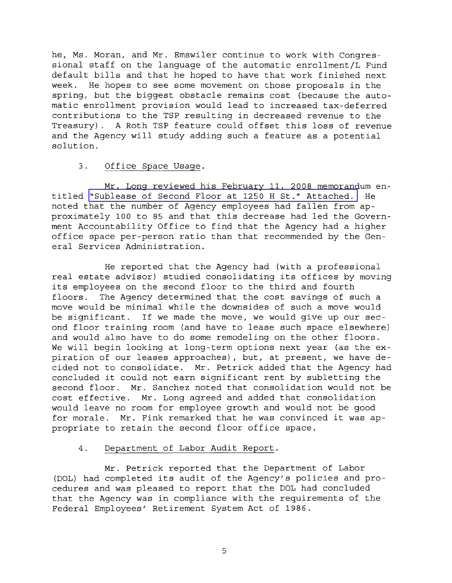he, Ms. Moran, and Mr. Emswiler continue to work with Congressional staff on the language of the automatic enrollment/L Fund default bills and that he hoped to have that work finished next week. He hopes to see some movement on those proposals in the spring, but the biggest obstacle remains cost (because the automatic enrollment provision would lead to increased tax-deferred contributions to the TSP resulting in decreased revenue to the Treasury). <sup>A</sup> Roth TSP feature could offset this loss of revenue and the Agency will study adding such a feature as a potential solution.

## 3. Office Space Usage.

Mr. Long reviewed his February 11, 2008 memorandum entitled "Sublease of Second Floor at <sup>1250</sup> <sup>H</sup> St." [Attached.](MM-2008Feb-Att4.pdf) He noted that the number of Agency employees had fallen from approximately 100 to <sup>85</sup> and that this decrease had led the Government Accountability Office to find that the Agency had a higher office space per-person ratio than that recommended by the General Services Administration.

He reported that the Agency had (with a professional real estate advisor) studied consolidating its offices by moving its employees on the second floor to the third and fourth floors. The Agency determined that the cost savings of such a move would be minimal while the downsides of such a move would be significant. If we made the move, we would give up our second floor training room (and have to lease such space elsewhere) and would also have to do some remodeling on the other floors. We will begin looking at long-term options next year (as the expiration of our leases approaches), but, at present, we have decided not to consolidate. Mr. Petrick added that the Agency had concluded it could not earn significant rent by subletting the second floor. Mr. Sanchez noted that consolidation would not be cost effective. Mr. Long agreed and added that consolidation would leave no room for employee growth and would not be good for morale. Mr. Fink remarked that he was convinced it was appropriate to retain the second floor office space.

## 4. Department of Labor Audit Report.

Mr. Petrick reported that the Department of Labor (DOL) had completed its audit of the Agency's policies and procedures and was pleased to report that the DOL had concluded that the Agency was in compliance with the requirements of the Federal Employees' Retirement System Act of 1986.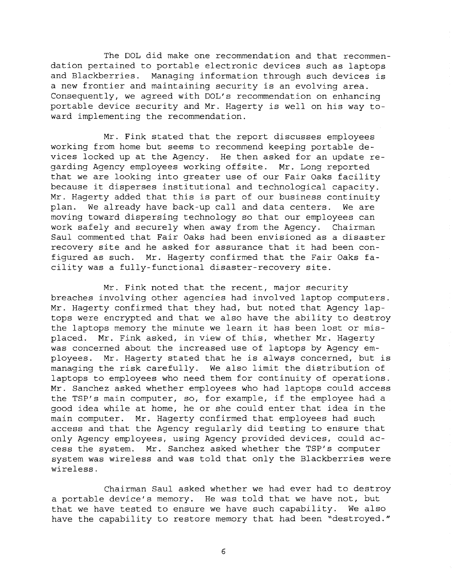The DOL did make one recommendation and that recommendation pertained to portable electronic devices such as laptops and Blackberries. Managing information through such devices is <sup>a</sup> new frontier and maintaining security is an evolving area. Consequently, we agreed with DOL's recommendation on enhancing portable device security and Mr. Hagerty is well on his way toward implementing the recommendation.

Mr. Fink stated that the report discusses employees working from home but seems to recommend keeping portable devices locked up at the Agency. He then asked for an update regarding Agency employees working offsite. Mr. Long reported that we are looking into greater use of our Fair Oaks facility because it disperses institutional and technological capacity. Mr. Hagerty added that this is part of our business continuity plan. We already have back-up call and data centers. We are moving toward dispersing technology so that our employees can work safely and securely when away from the Agency. Chairman Saul commented that Fair Oaks had been envisioned as <sup>a</sup> disaster recovery site and he asked for assurance that it had been configured as such. Mr. Hagerty confirmed that the Fair Oaks facility was <sup>a</sup> fully-functional disaster-recovery site.

Mr. Fink noted that the recent, major security breaches involving other agencies had involved laptop computers. Mr. Hagerty confirmed that they had, but noted that Agency laptops were encrypted and that we also have the ability to destroy the laptops memory the minute we learn it has been lost or misplaced. Mr. Fink asked, in view of this, whether Mr. Hagerty was concerned about the increased use of laptops by Agency employees. Mr. Hagerty stated that he is always concerned, but is managing the risk carefully. We also limit the distribution of laptops to employees who need them for continuity of operations. Mr. Sanchez asked whether employees who had laptops could access the TSP's main computer, so, for example, if the employee had <sup>a</sup> good idea while at home, he or she could enter that idea in the main computer. Mr. Hagerty confirmed that employees had such access and that the Agency regularly did testing to ensure that only Agency employees, using Agency provided devices, could access the system. Mr. Sanchez asked whether the TSP's computer system was wireless and was told that only the Blackberries were wireless.

Chairman Saul asked whether we had ever had to destroy <sup>a</sup> portable device's memory. He was told that we have not, but that we have tested to ensure we have such capability. We also have the capability to restore memory that had been "destroyed."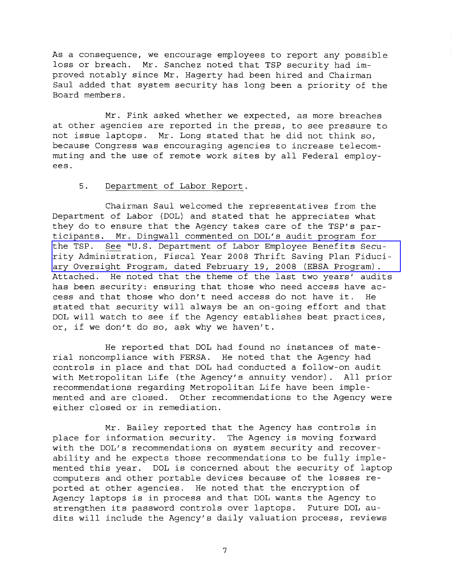As a consequence, we encourage employees to report any possible loss or breach. Mr. Sanchez noted that TSP security had improved notably since Mr. Hagerty had been hired and Chairman Saul added that system security has long been <sup>a</sup> priority of the Board members.

Mr. Fink asked whether we expected, as more breaches at other agencies are reported in the press, to see pressure to not issue laptops. Mr. Long stated that he did not think so, because Congress was encouraging agencies to increase telecommuting and the use of remote work sites by all Federal employees.

## 5. Department of Labor Report.

Chairman Saul welcomed the representatives from the Department of Labor (DOL) and stated that he appreciates what they do to ensure that the Agency takes care of the TSP's participants. Mr. Dingwall commented on DOL's audit program for the TSP. See ~U.S. Department of Labor Employee Benefits Security [Administration,](MM-2008Feb-Att5.pdf) Fiscal Year <sup>2008</sup> Thrift Saving Plan Fiduciary Oversight Program, dated February 19, 2008 (EBSA Program) . Attached. He noted that the theme of the last two years' audits has been security: ensuring that those who need access have access and that those who don't need access do not have it. He stated that security will always be an on-going effort and that DOL will watch to see if the Agency establishes best practices, or, if we don't do so, ask why we haven't.

He reported that DOL had found no instances of material noncompliance with FERSA. He noted that the Agency had controls in place and that DOL had conducted a follow-on audit with Metropolitan Life (the Agency's annuity vendor). All prior recommendations regarding Metropolitan Life have been implemented and are closed. Other recommendations to the Agency were either closed or in remediation.

Mr. Bailey reported that the Agency has controls in place for information security. The Agency is moving forward with the DOL's recommendations on system security and recoverability and he expects those recommendations to be fully implemented this year. DOL is concerned about the security of laptop computers and other portable devices because of the losses reported at other agencies. He noted that the encryption of Agency laptops is in process and that DOL wants the Agency to strengthen its password controls over laptops. Future DOL audits will include the Agency's daily valuation process, reviews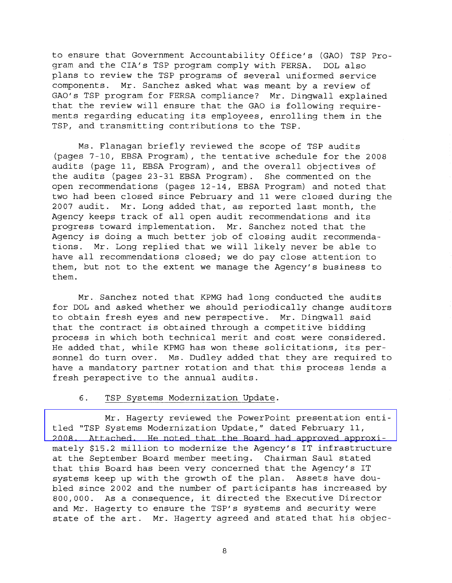to ensure that Government Accountability Office's (GAO) TSP Program and the CIA's TSP program comply with FERSA. DOL also plans to review the TSP programs of several uniformed service components. Mr. Sanchez asked what was meant by a review of GAO's TSP program for FERSA compliance? Mr. Dingwall explained that the review will ensure that the GAO is following requirements regarding educating its employees, enrolling them in the TSP, and transmitting contributions to the TSP.

Ms. Flanagan briefly reviewed the scope of TSP audits (pages 7-10, EBSA Program), the tentative schedule for the 2008 audits (page II, EBSA Program), and the overall objectives of the audits (pages 23-31 EBSA Program). She commented on the open recommendations (pages 12-14, EBSA Program) and noted that two had been closed since February and 11 were closed during the 2007 audit. Mr. Long added that, as reported last month, the Agency keeps track of all open audit recommendations and its progress toward implementation. Mr. Sanchez noted that the Agency is doing <sup>a</sup> much better job of closing audit recommendations. Mr. Long replied that we will likely never be able to have all recommendations closed; we do pay close attention to them, but not to the extent we manage the Agency's business to them.

Mr. Sanchez noted that KPMG had long conducted the audits for DOL and asked whether we should periodically change auditors to obtain fresh eyes and new perspective. Mr. Dingwall said that the contract is obtained through <sup>a</sup> competitive bidding process in which both technical merit and cost were considered. He added that, while KPMG has won these solicitations, its personnel do turn over. Ms. Dudley added that they are required to have <sup>a</sup> mandatory partner rotation and that this process lends <sup>a</sup> fresh perspective to the annual audits.

### 6. TSP Systems Modernization Update.

Mr. Hagerty reviewed the PowerPoint [presentation](MM-2008Feb-Att6.pdf) entitled "TSP Systems Modernization Update," dated February II, 2008. Attached. He noted that the Board had approved approximately \$15.2 million to modernize the Agency's IT infrastructure at the September Board member meeting. Chairman Saul stated that this Board has been very concerned that the Agency's IT systems keep up with the growth of the plan. Assets have doubled since 2002 and the number of participants has increased by 800,000. As <sup>a</sup> consequence, it directed the Executive Director and Mr. Hagerty to ensure the TSP's systems and security were state of the art. Mr. Hagerty agreed and stated that his objec-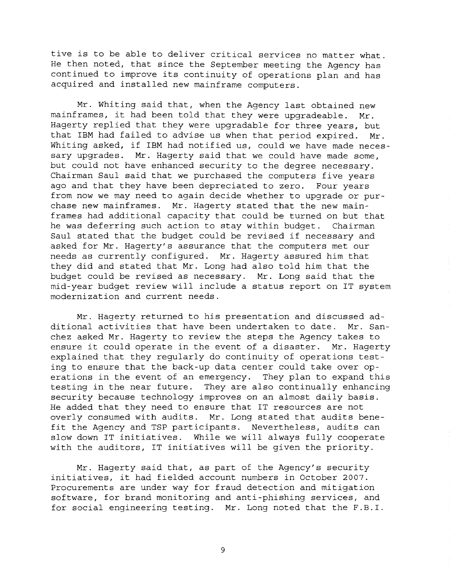tive is to be able to deliver critical services no matter what. He then noted, that since the September meeting the Agency has continued to improve its continuity of operations plan and has acquired and installed new mainframe computers.

Mr. Whiting said that, when the Agency last obtained new mainframes, it had been told that they were upgradeable. Mr. Hagerty replied that they were upgradable for three years, but that IBM had failed to advise us when that period expired. Mr. Whiting asked, if IBM had notified us, could we have made necessary upgrades. Mr. Hagerty said that we could have made some, but could not have enhanced security to the degree necessary. Chairman Saul said that we purchased the computers five years ago and that they have been depreciated to zero. Four years from now we may need to again decide whether to upgrade or purchase new mainframes. Mr. Hagerty stated that the new mainframes had additional capacity that could be turned on but that he was deferring such action to stay within budget. Chairman Saul stated that the budget could be revised if necessary and asked for Mr. Hagerty's assurance that the computers met our needs as currently configured. Mr. Hagerty assured him that they did and stated that Mr. Long had also told him that the budget could be revised as necessary. Mr. Long said that the mid-year budget review will include <sup>a</sup> status report on IT system modernization and current needs.

Mr. Hagerty returned to his presentation and discussed additional activities that have been undertaken to date. Mr. Sanchez asked Mr. Hagerty to review the steps the Agency takes to ensure it could operate in the event of <sup>a</sup> disaster. Mr. Hagerty explained that they regularly do continuity of operations testing to ensure that the back-up data center could take over operations in the event of an emergency. They plan to expand this testing in the near future. They are also continually enhancing security because technology improves on an almost daily basis. He added that they need to ensure that IT resources are not overly consumed with audits. Mr. Long stated that audits benefit the Agency and TSP participants. Nevertheless, audits can slow down IT initiatives. While we will always fully cooperate with the auditors, IT initiatives will be given the priority.

Mr. Hagerty said that, as part of the Agency's security initiatives, it had fielded account numbers in October 2007. Procurements are under way for fraud detection and mitigation software, for brand monitoring and anti-phishing services, and for social engineering testing. Mr. Long noted that the F.B.I.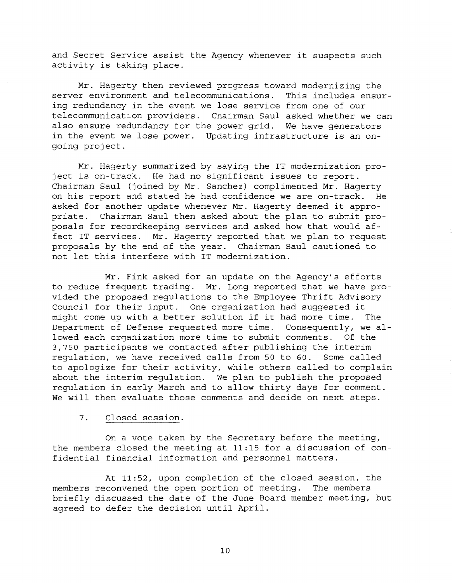and Secret Service assist the Agency whenever it suspects such activity is taking place.

Mr. Hagerty then reviewed progress toward modernizing the server environment and telecommunications. This includes ensuring redundancy in the event we lose service from one of our telecommunication providers. Chairman Saul asked whether we can also ensure redundancy for the power grid. We have generators in the event we lose power. Updating infrastructure is an ongoing project.

Mr. Hagerty summarized by saying the IT modernization project is on-track. He had no significant issues to report. Chairman Saul (joined by Mr. Sanchez) complimented Mr. Hagerty on his report and stated he had confidence we are on-track. He asked for another update whenever Mr. Hagerty deemed it appropriate. Chairman Saul then asked about the plan to submit proposals for recordkeeping services and asked how that would affect IT services. Mr. Hagerty reported that we plan to request proposals by the end of the year. Chairman Saul cautioned to not let this interfere with IT modernization.

Mr. Fink asked for an update on the Agency's efforts to reduce frequent trading. Mr. Long reported that we have provided the proposed regulations to the Employee Thrift Advisory Council for their input. One organization had suggested it might come up with <sup>a</sup> better solution if it had more time. The Department of Defense requested more time. Consequently, we allowed each organization more time to submit comments. Of the 3,750 participants we contacted after publishing the interim regulation, we have received calls from 50 to 60. Some called to apologize for their activity, while others called to complain about the interim regulation. We plan to publish the proposed regulation in early March and to allow thirty days for comment. We will then evaluate those comments and decide on next steps.

#### 7. Closed session.

On a vote taken by the Secretary before the meeting, the members closed the meeting at 11:15 for a discussion of confidential financial information and personnel matters.

At 11:52, upon completion of the closed session, the members reconvened the open portion of meeting. The members briefly discussed the date of the June Board member meeting, but agreed to defer the decision until April.